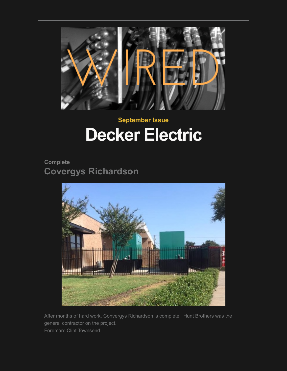

# **September Issue Decker Electric**

# **Complete Covergys Richardson**



After months of hard work, Convergys Richardson is complete. Hunt Brothers was the general contractor on the project. Foreman: Clint Townsend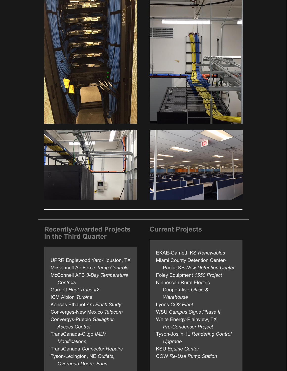

#### **Recently-Awarded Projects in the Third Quarter**

UPRR Englewood Yard-Houston, TX McConnell Air Force *Temp Controls* McConnell AFB *3-Bay Temperature Controls* Garnett *Heat Trace #2* ICM Albion *Turbine* Kansas Ethanol *Arc Flash Study* Converges-New Mexico *Telecom* Convergys-Pueblo *Gallagher Access Control* TransCanada-Citgo *IMLV Modifications* TransCanada *Connector Repairs* Tyson-Lexington, NE *Outlets, Overhead Doors, Fans*

# **Current Projects**

EKAE-Garnett, KS *Renewables* Miami County Detention Center- Paola, KS *New Detention Center* Foley Equipment *1550 Project* Ninnescah Rural Electric Cooperative *Office & Warehouse* Lyons *CO2 Plant* WSU *Campus Signs Phase II* White Energy-Plainview, TX  *Pre-Condenser Project* Tyson-Joslin, IL *Rendering Control Upgrade* KSU *Equine Center* COW *Re-Use Pump Station*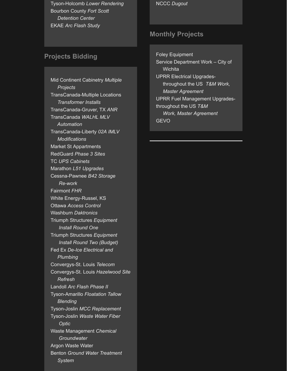Tyson-Holcomb *Lower Rendering* Bourbon County *Fort Scott Detention Center* EKAE *Arc Flash Study*

# **Projects Bidding**

Mid Continent Cabinetry *Multiple Projects* TransCanada-Multiple Locations  *Transformer Installs* TransCanada-Gruver, TX *ANR* TransCanada *WALHL MLV Automation* TransCanada-Liberty *02A IMLV Modifications* Market St Appartments RedGuard *Phase 3 Sites* TC *UPS Cabinets* Marathon *L51 Upgrades* Cessna-Pawnee *B42 Storage Re-work* Fairmont *FHR* White Energy-Russel, KS Ottawa *Access Control* Washburn *Daktronics* Triumph Structures *Equipment Install Round One* Triumph Structures *Equipment Install Round Two (Budget)* Fed Ex *De-Ice Electrical and Plumbing* Convergys-St. Louis *Telecom* Convergys-St. Louis *Hazelwood Site Refresh* Landoll *Arc Flash Phase II* Tyson-Amarillo *Floatation Tallow Blending* Tyson-Joslin *MCC Replacement* Tyson-Joslin *Waste Water Fiber Optic* Waste Management *Chemical Groundwater* Argon Waste Water Benton *Ground Water Treatment System*

NCCC *Dugout*

# **Monthly Projects**

Foley Equipment Service Department Work – City of **Wichita** UPRR Electrical Upgrades throughout the US *T&M Work, Master Agreement* UPRR Fuel Management Upgradesthroughout the US *T&M Work, Master Agreement* **GEVO**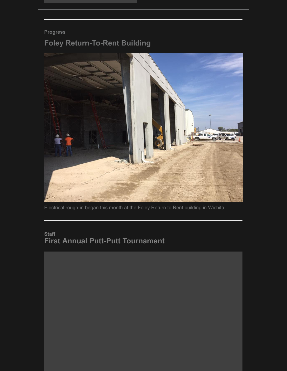### **Progress**

# **Foley Return-To-Rent Building**



Electrical rough-in began this month at the Foley Return to Rent building in Wichita.

# **Staff First Annual Putt-Putt Tournament**